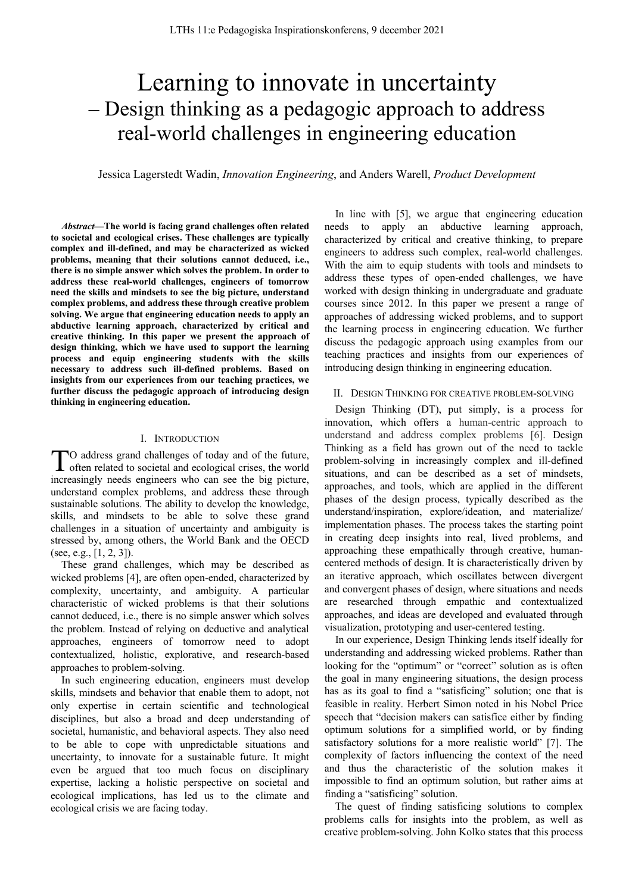# Learning to innovate in uncertainty – Design thinking as a pedagogic approach to address real-world challenges in engineering education

Jessica Lagerstedt Wadin, *Innovation Engineering*, and Anders Warell, *Product Development*

*Abstract***—The world is facing grand challenges often related to societal and ecological crises. These challenges are typically complex and ill-defined, and may be characterized as wicked problems, meaning that their solutions cannot deduced, i.e., there is no simple answer which solves the problem. In order to address these real-world challenges, engineers of tomorrow need the skills and mindsets to see the big picture, understand complex problems, and address these through creative problem solving. We argue that engineering education needs to apply an abductive learning approach, characterized by critical and creative thinking. In this paper we present the approach of design thinking, which we have used to support the learning process and equip engineering students with the skills necessary to address such ill-defined problems. Based on insights from our experiences from our teaching practices, we further discuss the pedagogic approach of introducing design thinking in engineering education.**

#### I. INTRODUCTION

O address grand challenges of today and of the future, TO address grand challenges of today and of the future,<br>often related to societal and ecological crises, the world increasingly needs engineers who can see the big picture, understand complex problems, and address these through sustainable solutions. The ability to develop the knowledge, skills, and mindsets to be able to solve these grand challenges in a situation of uncertainty and ambiguity is stressed by, among others, the World Bank and the OECD (see, e.g., [1, 2, 3]).

These grand challenges, which may be described as wicked problems [4], are often open-ended, characterized by complexity, uncertainty, and ambiguity. A particular characteristic of wicked problems is that their solutions cannot deduced, i.e., there is no simple answer which solves the problem. Instead of relying on deductive and analytical approaches, engineers of tomorrow need to adopt contextualized, holistic, explorative, and research-based approaches to problem-solving.

In such engineering education, engineers must develop skills, mindsets and behavior that enable them to adopt, not only expertise in certain scientific and technological disciplines, but also a broad and deep understanding of societal, humanistic, and behavioral aspects. They also need to be able to cope with unpredictable situations and uncertainty, to innovate for a sustainable future. It might even be argued that too much focus on disciplinary expertise, lacking a holistic perspective on societal and ecological implications, has led us to the climate and ecological crisis we are facing today.

In line with [5], we argue that engineering education needs to apply an abductive learning approach, characterized by critical and creative thinking, to prepare engineers to address such complex, real-world challenges. With the aim to equip students with tools and mindsets to address these types of open-ended challenges, we have worked with design thinking in undergraduate and graduate courses since 2012. In this paper we present a range of approaches of addressing wicked problems, and to support the learning process in engineering education. We further discuss the pedagogic approach using examples from our teaching practices and insights from our experiences of introducing design thinking in engineering education.

### II. DESIGN THINKING FOR CREATIVE PROBLEM-SOLVING

Design Thinking (DT), put simply, is a process for innovation, which offers a human-centric approach to understand and address complex problems [6]. Design Thinking as a field has grown out of the need to tackle problem-solving in increasingly complex and ill-defined situations, and can be described as a set of mindsets, approaches, and tools, which are applied in the different phases of the design process, typically described as the understand/inspiration, explore/ideation, and materialize/ implementation phases. The process takes the starting point in creating deep insights into real, lived problems, and approaching these empathically through creative, humancentered methods of design. It is characteristically driven by an iterative approach, which oscillates between divergent and convergent phases of design, where situations and needs are researched through empathic and contextualized approaches, and ideas are developed and evaluated through visualization, prototyping and user-centered testing.

In our experience, Design Thinking lends itself ideally for understanding and addressing wicked problems. Rather than looking for the "optimum" or "correct" solution as is often the goal in many engineering situations, the design process has as its goal to find a "satisficing" solution; one that is feasible in reality. Herbert Simon noted in his Nobel Price speech that "decision makers can satisfice either by finding optimum solutions for a simplified world, or by finding satisfactory solutions for a more realistic world" [7]. The complexity of factors influencing the context of the need and thus the characteristic of the solution makes it impossible to find an optimum solution, but rather aims at finding a "satisficing" solution.

The quest of finding satisficing solutions to complex problems calls for insights into the problem, as well as creative problem-solving. John Kolko states that this process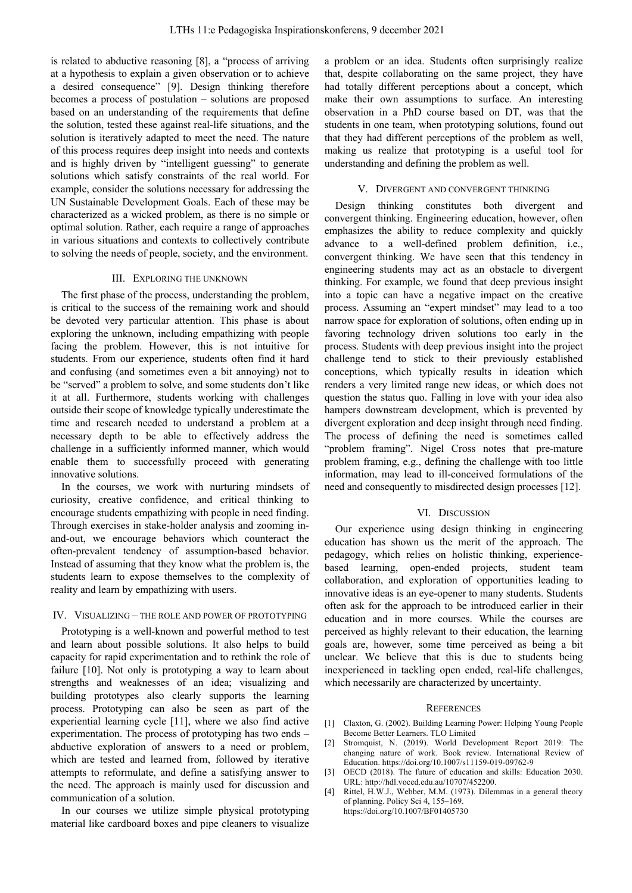is related to abductive reasoning [8], a "process of arriving at a hypothesis to explain a given observation or to achieve a desired consequence" [9]. Design thinking therefore becomes a process of postulation – solutions are proposed based on an understanding of the requirements that define the solution, tested these against real-life situations, and the solution is iteratively adapted to meet the need. The nature of this process requires deep insight into needs and contexts and is highly driven by "intelligent guessing" to generate solutions which satisfy constraints of the real world. For example, consider the solutions necessary for addressing the UN Sustainable Development Goals. Each of these may be characterized as a wicked problem, as there is no simple or optimal solution. Rather, each require a range of approaches in various situations and contexts to collectively contribute to solving the needs of people, society, and the environment.

### III. EXPLORING THE UNKNOWN

The first phase of the process, understanding the problem, is critical to the success of the remaining work and should be devoted very particular attention. This phase is about exploring the unknown, including empathizing with people facing the problem. However, this is not intuitive for students. From our experience, students often find it hard and confusing (and sometimes even a bit annoying) not to be "served" a problem to solve, and some students don't like it at all. Furthermore, students working with challenges outside their scope of knowledge typically underestimate the time and research needed to understand a problem at a necessary depth to be able to effectively address the challenge in a sufficiently informed manner, which would enable them to successfully proceed with generating innovative solutions.

In the courses, we work with nurturing mindsets of curiosity, creative confidence, and critical thinking to encourage students empathizing with people in need finding. Through exercises in stake-holder analysis and zooming inand-out, we encourage behaviors which counteract the often-prevalent tendency of assumption-based behavior. Instead of assuming that they know what the problem is, the students learn to expose themselves to the complexity of reality and learn by empathizing with users.

# IV. VISUALIZING – THE ROLE AND POWER OF PROTOTYPING

Prototyping is a well-known and powerful method to test and learn about possible solutions. It also helps to build capacity for rapid experimentation and to rethink the role of failure [10]. Not only is prototyping a way to learn about strengths and weaknesses of an idea; visualizing and building prototypes also clearly supports the learning process. Prototyping can also be seen as part of the experiential learning cycle [11], where we also find active experimentation. The process of prototyping has two ends – abductive exploration of answers to a need or problem, which are tested and learned from, followed by iterative attempts to reformulate, and define a satisfying answer to the need. The approach is mainly used for discussion and communication of a solution.

In our courses we utilize simple physical prototyping material like cardboard boxes and pipe cleaners to visualize a problem or an idea. Students often surprisingly realize that, despite collaborating on the same project, they have had totally different perceptions about a concept, which make their own assumptions to surface. An interesting observation in a PhD course based on DT, was that the students in one team, when prototyping solutions, found out that they had different perceptions of the problem as well, making us realize that prototyping is a useful tool for understanding and defining the problem as well.

# V. DIVERGENT AND CONVERGENT THINKING

Design thinking constitutes both divergent and convergent thinking. Engineering education, however, often emphasizes the ability to reduce complexity and quickly advance to a well-defined problem definition, i.e., convergent thinking. We have seen that this tendency in engineering students may act as an obstacle to divergent thinking. For example, we found that deep previous insight into a topic can have a negative impact on the creative process. Assuming an "expert mindset" may lead to a too narrow space for exploration of solutions, often ending up in favoring technology driven solutions too early in the process. Students with deep previous insight into the project challenge tend to stick to their previously established conceptions, which typically results in ideation which renders a very limited range new ideas, or which does not question the status quo. Falling in love with your idea also hampers downstream development, which is prevented by divergent exploration and deep insight through need finding. The process of defining the need is sometimes called "problem framing". Nigel Cross notes that pre-mature problem framing, e.g., defining the challenge with too little information, may lead to ill-conceived formulations of the need and consequently to misdirected design processes [12].

# VI. DISCUSSION

Our experience using design thinking in engineering education has shown us the merit of the approach. The pedagogy, which relies on holistic thinking, experiencebased learning, open-ended projects, student team collaboration, and exploration of opportunities leading to innovative ideas is an eye-opener to many students. Students often ask for the approach to be introduced earlier in their education and in more courses. While the courses are perceived as highly relevant to their education, the learning goals are, however, some time perceived as being a bit unclear. We believe that this is due to students being inexperienced in tackling open ended, real-life challenges, which necessarily are characterized by uncertainty.

#### **REFERENCES**

- [1] Claxton, G. (2002). Building Learning Power: Helping Young People Become Better Learners. TLO Limited
- [2] Stromquist, N. (2019). World Development Report 2019: The changing nature of work. Book review. International Review of Education. https://doi.org/10.1007/s11159-019-09762-9
- [3] OECD (2018). The future of education and skills: Education 2030. URL: http://hdl.voced.edu.au/10707/452200.
- [4] Rittel, H.W.J., Webber, M.M. (1973). Dilemmas in a general theory of planning. Policy Sci 4, 155–169. https://doi.org/10.1007/BF01405730